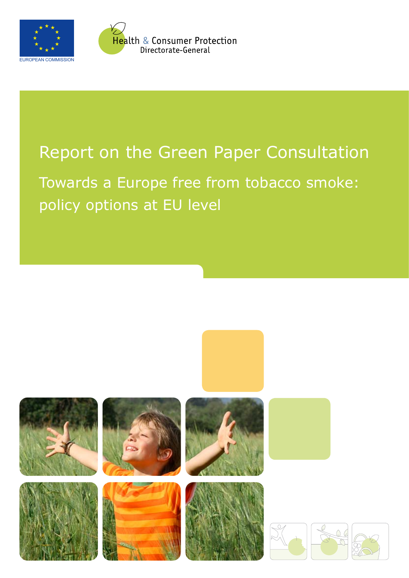



y<br><mark>He</mark>alth & Consumer Protection Directorate-General

# Report on the Green Paper Consultation

Towards a Europe free from tobacco smoke: policy options at EU level

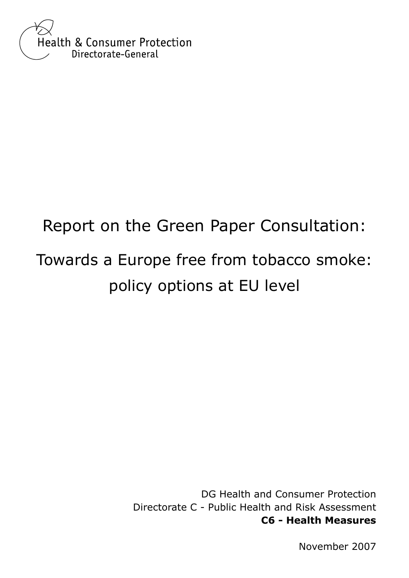

# Report on the Green Paper Consultation: Towards a Europe free from tobacco smoke: policy options at EU level

DG Health and Consumer Protection Directorate C - Public Health and Risk Assessment **C6 - Health Measures**

November 2007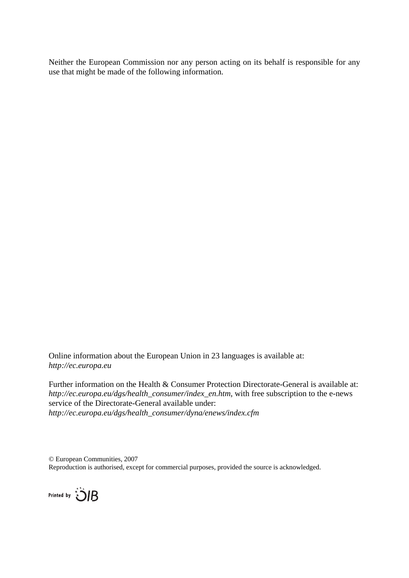Neither the European Commission nor any person acting on its behalf is responsible for any use that might be made of the following information.

Online information about the European Union in 23 languages is available at: *http://ec.europa.eu* 

Further information on the Health & Consumer Protection Directorate-General is available at: *http://ec.europa.eu/dgs/health\_consumer/index\_en.htm*, with free subscription to the e-news service of the Directorate-General available under: *http://ec.europa.eu/dgs/health\_consumer/dyna/enews/index.cfm* 

© European Communities, 2007 Reproduction is authorised, except for commercial purposes, provided the source is acknowledged.

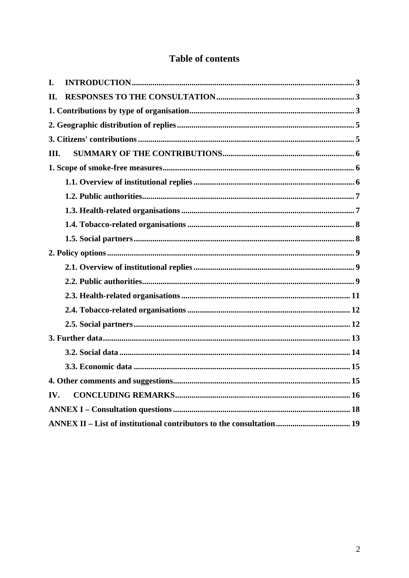### **Table of contents**

| I.  |                                                                       |  |
|-----|-----------------------------------------------------------------------|--|
| II. |                                                                       |  |
|     |                                                                       |  |
|     |                                                                       |  |
|     |                                                                       |  |
| Ш.  |                                                                       |  |
|     |                                                                       |  |
|     |                                                                       |  |
|     |                                                                       |  |
|     |                                                                       |  |
|     |                                                                       |  |
|     |                                                                       |  |
|     |                                                                       |  |
|     |                                                                       |  |
|     |                                                                       |  |
|     |                                                                       |  |
|     |                                                                       |  |
|     |                                                                       |  |
|     |                                                                       |  |
|     |                                                                       |  |
|     |                                                                       |  |
|     |                                                                       |  |
| IV. |                                                                       |  |
|     |                                                                       |  |
|     | ANNEX II – List of institutional contributors to the consultation  19 |  |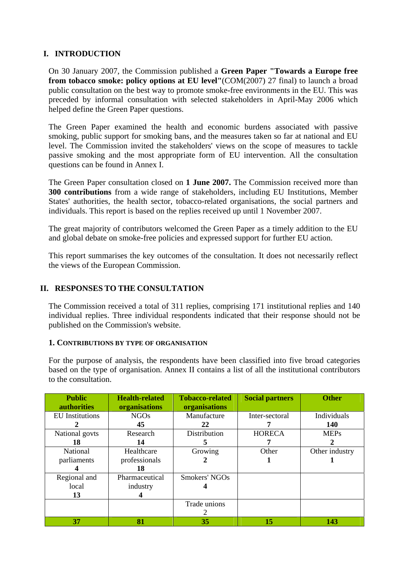#### **I. INTRODUCTION**

On 30 January 2007, the Commission published a **Green Paper "Towards a Europe free from tobacco smoke: policy options at EU level"**(COM(2007) 27 final) to launch a broad public consultation on the best way to promote smoke-free environments in the EU. This was preceded by informal consultation with selected stakeholders in April-May 2006 which helped define the Green Paper questions.

The Green Paper examined the health and economic burdens associated with passive smoking, public support for smoking bans, and the measures taken so far at national and EU level. The Commission invited the stakeholders' views on the scope of measures to tackle passive smoking and the most appropriate form of EU intervention. All the consultation questions can be found in Annex I.

The Green Paper consultation closed on **1 June 2007.** The Commission received more than **300 contributions** from a wide range of stakeholders, including EU Institutions, Member States' authorities, the health sector, tobacco-related organisations, the social partners and individuals. This report is based on the replies received up until 1 November 2007.

The great majority of contributors welcomed the Green Paper as a timely addition to the EU and global debate on smoke-free policies and expressed support for further EU action.

This report summarises the key outcomes of the consultation. It does not necessarily reflect the views of the European Commission.

#### **II. RESPONSES TO THE CONSULTATION**

The Commission received a total of 311 replies, comprising 171 institutional replies and 140 individual replies. Three individual respondents indicated that their response should not be published on the Commission's website.

#### **1. CONTRIBUTIONS BY TYPE OF ORGANISATION**

For the purpose of analysis, the respondents have been classified into five broad categories based on the type of organisation. Annex II contains a list of all the institutional contributors to the consultation.

| <b>Public</b><br><b>authorities</b> | <b>Health-related</b><br>organisations | <b>Tobacco-related</b><br>organisations | <b>Social partners</b> | <b>Other</b>   |
|-------------------------------------|----------------------------------------|-----------------------------------------|------------------------|----------------|
| <b>EU</b> Institutions              | <b>NGOs</b>                            | Manufacture                             | Inter-sectoral         | Individuals    |
|                                     | 45                                     | 22                                      |                        | <b>140</b>     |
| National govts                      | Research                               | Distribution                            | <b>HORECA</b>          | <b>MEPs</b>    |
| 18                                  | 14                                     | 5                                       |                        |                |
| National                            | Healthcare                             | Growing                                 | Other                  | Other industry |
| parliaments                         | professionals                          |                                         |                        |                |
|                                     | 18                                     |                                         |                        |                |
| Regional and                        | Pharmaceutical                         | Smokers' NGOs                           |                        |                |
| local                               | industry                               |                                         |                        |                |
| 13                                  | 4                                      |                                         |                        |                |
|                                     |                                        | Trade unions                            |                        |                |
|                                     |                                        |                                         |                        |                |
| 37                                  | 81                                     | 35                                      | 15                     | 143            |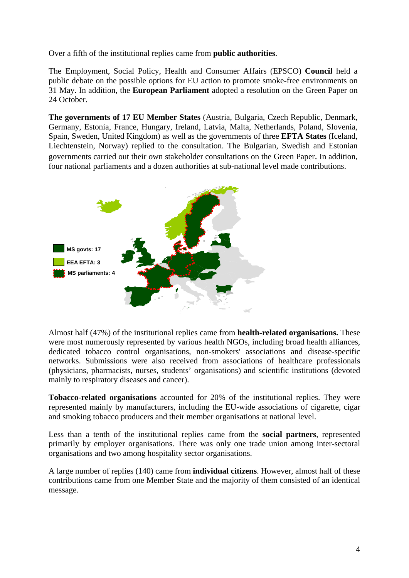Over a fifth of the institutional replies came from **public authorities**.

The Employment, Social Policy, Health and Consumer Affairs (EPSCO) **Council** held a public debate on the possible options for EU action to promote smoke-free environments on 31 May. In addition, the **European Parliament** adopted a resolution on the Green Paper on 24 October.

**The governments of 17 EU Member States** (Austria, Bulgaria, Czech Republic, Denmark, Germany, Estonia, France, Hungary, Ireland, Latvia, Malta, Netherlands, Poland, Slovenia, Spain, Sweden, United Kingdom) as well as the governments of three **EFTA States** (Iceland, Liechtenstein, Norway) replied to the consultation. The Bulgarian, Swedish and Estonian governments carried out their own stakeholder consultations on the Green Paper. In addition, four national parliaments and a dozen authorities at sub-national level made contributions.



Almost half (47%) of the institutional replies came from **health-related organisations.** These were most numerously represented by various health NGOs, including broad health alliances, dedicated tobacco control organisations, non-smokers' associations and disease-specific networks. Submissions were also received from associations of healthcare professionals (physicians, pharmacists, nurses, students' organisations) and scientific institutions (devoted mainly to respiratory diseases and cancer).

**Tobacco-related organisations** accounted for 20% of the institutional replies. They were represented mainly by manufacturers, including the EU-wide associations of cigarette, cigar and smoking tobacco producers and their member organisations at national level.

Less than a tenth of the institutional replies came from the **social partners**, represented primarily by employer organisations. There was only one trade union among inter-sectoral organisations and two among hospitality sector organisations.

A large number of replies (140) came from **individual citizens**. However, almost half of these contributions came from one Member State and the majority of them consisted of an identical message.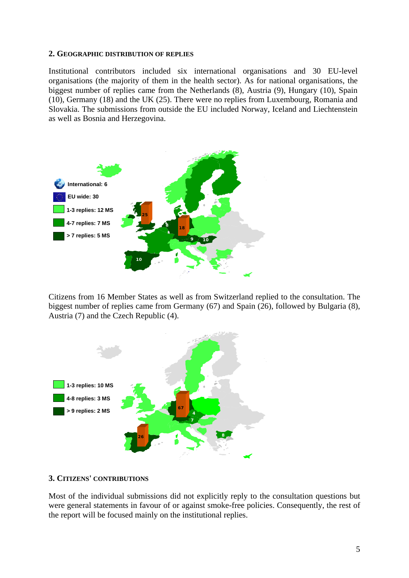#### **2. GEOGRAPHIC DISTRIBUTION OF REPLIES**

Institutional contributors included six international organisations and 30 EU-level organisations (the majority of them in the health sector). As for national organisations, the biggest number of replies came from the Netherlands (8), Austria (9), Hungary (10), Spain (10), Germany (18) and the UK (25). There were no replies from Luxembourg, Romania and Slovakia. The submissions from outside the EU included Norway, Iceland and Liechtenstein as well as Bosnia and Herzegovina.



Citizens from 16 Member States as well as from Switzerland replied to the consultation. The biggest number of replies came from Germany (67) and Spain (26), followed by Bulgaria (8), Austria (7) and the Czech Republic (4).



#### **3. CITIZENS' CONTRIBUTIONS**

Most of the individual submissions did not explicitly reply to the consultation questions but were general statements in favour of or against smoke-free policies. Consequently, the rest of the report will be focused mainly on the institutional replies.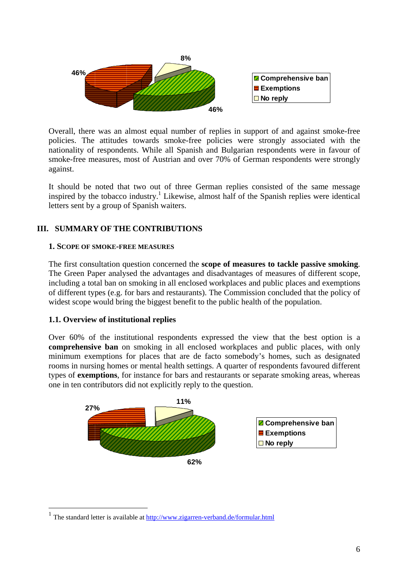

Overall, there was an almost equal number of replies in support of and against smoke-free policies. The attitudes towards smoke-free policies were strongly associated with the nationality of respondents. While all Spanish and Bulgarian respondents were in favour of smoke-free measures, most of Austrian and over 70% of German respondents were strongly against.

It should be noted that two out of three German replies consisted of the same message inspired by the tobacco industry.<sup>1</sup> Likewise, almost half of the Spanish replies were identical letters sent by a group of Spanish waiters.

#### **III. SUMMARY OF THE CONTRIBUTIONS**

#### **1. SCOPE OF SMOKE-FREE MEASURES**

The first consultation question concerned the **scope of measures to tackle passive smoking**. The Green Paper analysed the advantages and disadvantages of measures of different scope, including a total ban on smoking in all enclosed workplaces and public places and exemptions of different types (e.g. for bars and restaurants). The Commission concluded that the policy of widest scope would bring the biggest benefit to the public health of the population.

#### **1.1. Overview of institutional replies**

<u>.</u>

Over 60% of the institutional respondents expressed the view that the best option is a **comprehensive ban** on smoking in all enclosed workplaces and public places, with only minimum exemptions for places that are de facto somebody's homes, such as designated rooms in nursing homes or mental health settings. A quarter of respondents favoured different types of **exemptions**, for instance for bars and restaurants or separate smoking areas, whereas one in ten contributors did not explicitly reply to the question.



<sup>&</sup>lt;sup>1</sup> The standard letter is available at  $\frac{http://www.zigarren-verband.de/formular.html}{http://www.zigarren-verband.de/formular.html}$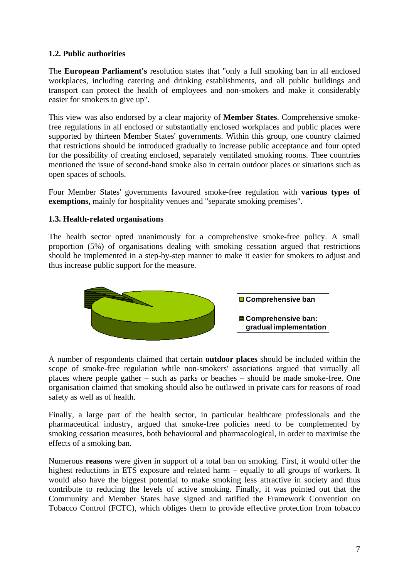#### **1.2. Public authorities**

The **European Parliament's** resolution states that "only a full smoking ban in all enclosed workplaces, including catering and drinking establishments, and all public buildings and transport can protect the health of employees and non-smokers and make it considerably easier for smokers to give up".

This view was also endorsed by a clear majority of **Member States**. Comprehensive smokefree regulations in all enclosed or substantially enclosed workplaces and public places were supported by thirteen Member States' governments. Within this group, one country claimed that restrictions should be introduced gradually to increase public acceptance and four opted for the possibility of creating enclosed, separately ventilated smoking rooms. Thee countries mentioned the issue of second-hand smoke also in certain outdoor places or situations such as open spaces of schools.

Four Member States' governments favoured smoke-free regulation with **various types of exemptions,** mainly for hospitality venues and "separate smoking premises".

#### **1.3. Health-related organisations**

The health sector opted unanimously for a comprehensive smoke-free policy. A small proportion (5%) of organisations dealing with smoking cessation argued that restrictions should be implemented in a step-by-step manner to make it easier for smokers to adjust and thus increase public support for the measure.



A number of respondents claimed that certain **outdoor places** should be included within the scope of smoke-free regulation while non-smokers' associations argued that virtually all places where people gather – such as parks or beaches – should be made smoke-free. One organisation claimed that smoking should also be outlawed in private cars for reasons of road safety as well as of health.

Finally, a large part of the health sector, in particular healthcare professionals and the pharmaceutical industry, argued that smoke-free policies need to be complemented by smoking cessation measures, both behavioural and pharmacological, in order to maximise the effects of a smoking ban.

Numerous **reasons** were given in support of a total ban on smoking. First, it would offer the highest reductions in ETS exposure and related harm – equally to all groups of workers. It would also have the biggest potential to make smoking less attractive in society and thus contribute to reducing the levels of active smoking. Finally, it was pointed out that the Community and Member States have signed and ratified the Framework Convention on Tobacco Control (FCTC), which obliges them to provide effective protection from tobacco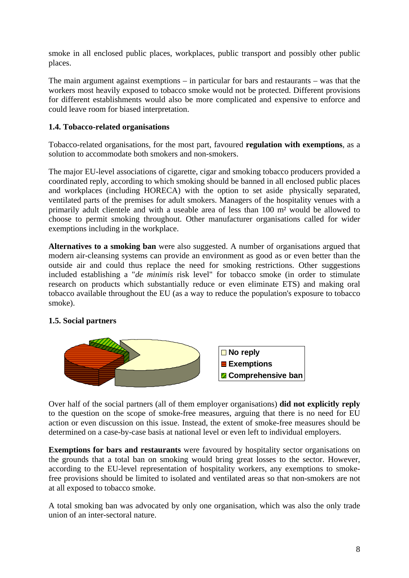smoke in all enclosed public places, workplaces, public transport and possibly other public places.

The main argument against exemptions – in particular for bars and restaurants – was that the workers most heavily exposed to tobacco smoke would not be protected. Different provisions for different establishments would also be more complicated and expensive to enforce and could leave room for biased interpretation.

#### **1.4. Tobacco-related organisations**

Tobacco-related organisations, for the most part, favoured **regulation with exemptions**, as a solution to accommodate both smokers and non-smokers.

The major EU-level associations of cigarette, cigar and smoking tobacco producers provided a coordinated reply, according to which smoking should be banned in all enclosed public places and workplaces (including HORECA) with the option to set aside physically separated, ventilated parts of the premises for adult smokers. Managers of the hospitality venues with a primarily adult clientele and with a useable area of less than 100 m² would be allowed to choose to permit smoking throughout. Other manufacturer organisations called for wider exemptions including in the workplace.

**Alternatives to a smoking ban** were also suggested. A number of organisations argued that modern air-cleansing systems can provide an environment as good as or even better than the outside air and could thus replace the need for smoking restrictions. Other suggestions included establishing a "*de minimis* risk level" for tobacco smoke (in order to stimulate research on products which substantially reduce or even eliminate ETS) and making oral tobacco available throughout the EU (as a way to reduce the population's exposure to tobacco smoke).

#### **1.5. Social partners**



Over half of the social partners (all of them employer organisations) **did not explicitly reply** to the question on the scope of smoke-free measures, arguing that there is no need for EU action or even discussion on this issue. Instead, the extent of smoke-free measures should be determined on a case-by-case basis at national level or even left to individual employers.

**Exemptions for bars and restaurants** were favoured by hospitality sector organisations on the grounds that a total ban on smoking would bring great losses to the sector. However, according to the EU-level representation of hospitality workers, any exemptions to smokefree provisions should be limited to isolated and ventilated areas so that non-smokers are not at all exposed to tobacco smoke.

A total smoking ban was advocated by only one organisation, which was also the only trade union of an inter-sectoral nature.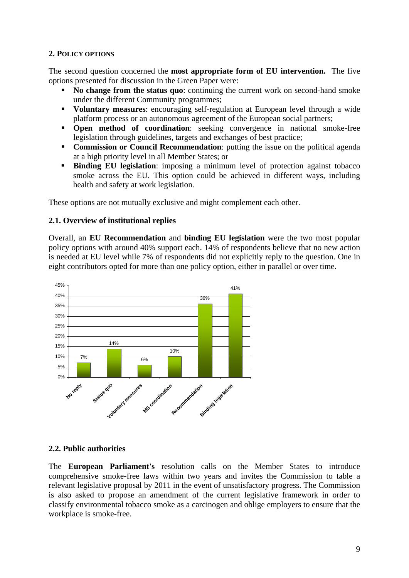#### **2. POLICY OPTIONS**

The second question concerned the **most appropriate form of EU intervention.** The five options presented for discussion in the Green Paper were:

- **No change from the status quo**: continuing the current work on second-hand smoke under the different Community programmes;
- **Voluntary measures**: encouraging self-regulation at European level through a wide platform process or an autonomous agreement of the European social partners;
- **Open method of coordination**: seeking convergence in national smoke-free legislation through guidelines, targets and exchanges of best practice;
- **Commission or Council Recommendation:** putting the issue on the political agenda at a high priority level in all Member States; or
- **Binding EU legislation:** imposing a minimum level of protection against tobacco smoke across the EU. This option could be achieved in different ways, including health and safety at work legislation.

These options are not mutually exclusive and might complement each other.

#### **2.1. Overview of institutional replies**

Overall, an **EU Recommendation** and **binding EU legislation** were the two most popular policy options with around 40% support each. 14% of respondents believe that no new action is needed at EU level while 7% of respondents did not explicitly reply to the question. One in eight contributors opted for more than one policy option, either in parallel or over time.



#### **2.2. Public authorities**

The **European Parliament's** resolution calls on the Member States to introduce comprehensive smoke-free laws within two years and invites the Commission to table a relevant legislative proposal by 2011 in the event of unsatisfactory progress. The Commission is also asked to propose an amendment of the current legislative framework in order to classify environmental tobacco smoke as a carcinogen and oblige employers to ensure that the workplace is smoke-free.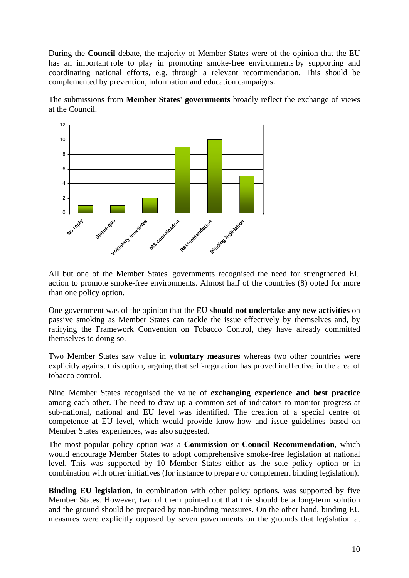During the **Council** debate, the majority of Member States were of the opinion that the EU has an important role to play in promoting smoke-free environments by supporting and coordinating national efforts, e.g. through a relevant recommendation. This should be complemented by prevention, information and education campaigns.

The submissions from **Member States' governments** broadly reflect the exchange of views at the Council.



All but one of the Member States' governments recognised the need for strengthened EU action to promote smoke-free environments. Almost half of the countries (8) opted for more than one policy option.

One government was of the opinion that the EU **should not undertake any new activities** on passive smoking as Member States can tackle the issue effectively by themselves and, by ratifying the Framework Convention on Tobacco Control, they have already committed themselves to doing so.

Two Member States saw value in **voluntary measures** whereas two other countries were explicitly against this option, arguing that self-regulation has proved ineffective in the area of tobacco control.

Nine Member States recognised the value of **exchanging experience and best practice** among each other. The need to draw up a common set of indicators to monitor progress at sub-national, national and EU level was identified. The creation of a special centre of competence at EU level, which would provide know-how and issue guidelines based on Member States' experiences, was also suggested.

The most popular policy option was a **Commission or Council Recommendation**, which would encourage Member States to adopt comprehensive smoke-free legislation at national level. This was supported by 10 Member States either as the sole policy option or in combination with other initiatives (for instance to prepare or complement binding legislation).

**Binding EU legislation**, in combination with other policy options, was supported by five Member States. However, two of them pointed out that this should be a long-term solution and the ground should be prepared by non-binding measures. On the other hand, binding EU measures were explicitly opposed by seven governments on the grounds that legislation at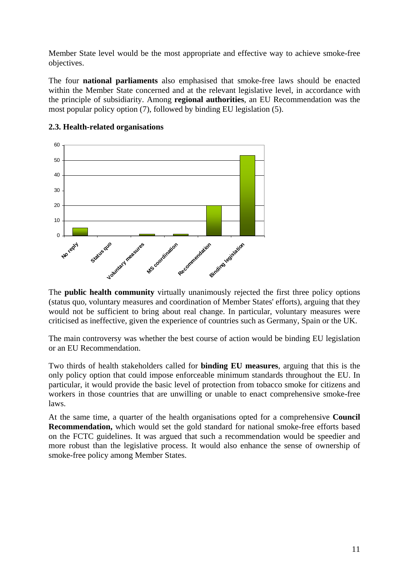Member State level would be the most appropriate and effective way to achieve smoke-free objectives.

The four **national parliaments** also emphasised that smoke-free laws should be enacted within the Member State concerned and at the relevant legislative level, in accordance with the principle of subsidiarity. Among **regional authorities**, an EU Recommendation was the most popular policy option (7), followed by binding EU legislation (5).



#### **2.3. Health-related organisations**

The **public health community** virtually unanimously rejected the first three policy options (status quo, voluntary measures and coordination of Member States' efforts), arguing that they would not be sufficient to bring about real change. In particular, voluntary measures were criticised as ineffective, given the experience of countries such as Germany, Spain or the UK.

The main controversy was whether the best course of action would be binding EU legislation or an EU Recommendation.

Two thirds of health stakeholders called for **binding EU measures**, arguing that this is the only policy option that could impose enforceable minimum standards throughout the EU. In particular, it would provide the basic level of protection from tobacco smoke for citizens and workers in those countries that are unwilling or unable to enact comprehensive smoke-free laws.

At the same time, a quarter of the health organisations opted for a comprehensive **Council Recommendation,** which would set the gold standard for national smoke-free efforts based on the FCTC guidelines. It was argued that such a recommendation would be speedier and more robust than the legislative process. It would also enhance the sense of ownership of smoke-free policy among Member States.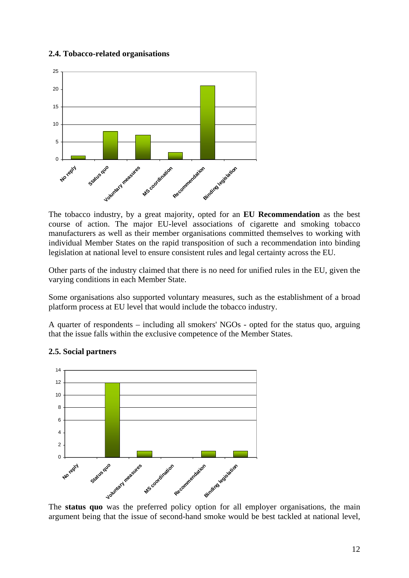#### **2.4. Tobacco-related organisations**



The tobacco industry, by a great majority, opted for an **EU Recommendation** as the best course of action. The major EU-level associations of cigarette and smoking tobacco manufacturers as well as their member organisations committed themselves to working with individual Member States on the rapid transposition of such a recommendation into binding legislation at national level to ensure consistent rules and legal certainty across the EU.

Other parts of the industry claimed that there is no need for unified rules in the EU, given the varying conditions in each Member State.

Some organisations also supported voluntary measures, such as the establishment of a broad platform process at EU level that would include the tobacco industry.

A quarter of respondents – including all smokers' NGOs - opted for the status quo, arguing that the issue falls within the exclusive competence of the Member States.



#### **2.5. Social partners**

The **status quo** was the preferred policy option for all employer organisations, the main argument being that the issue of second-hand smoke would be best tackled at national level,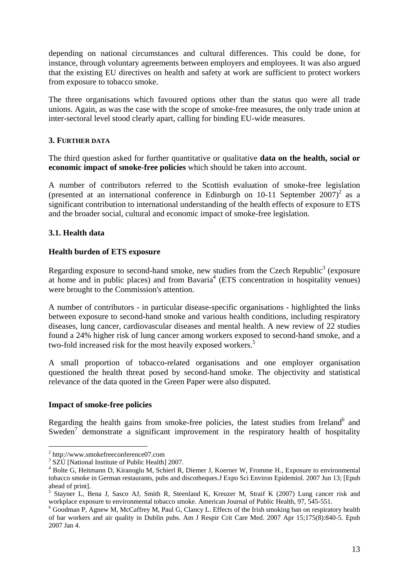depending on national circumstances and cultural differences. This could be done, for instance, through voluntary agreements between employers and employees. It was also argued that the existing EU directives on health and safety at work are sufficient to protect workers from exposure to tobacco smoke.

The three organisations which favoured options other than the status quo were all trade unions. Again, as was the case with the scope of smoke-free measures, the only trade union at inter-sectoral level stood clearly apart, calling for binding EU-wide measures.

#### **3. FURTHER DATA**

The third question asked for further quantitative or qualitative **data on the health, social or economic impact of smoke-free policies** which should be taken into account.

A number of contributors referred to the Scottish evaluation of smoke-free legislation (presented at an international conference in Edinburgh on 10-11 September  $2007$ )<sup>2</sup> as a significant contribution to international understanding of the health effects of exposure to ETS and the broader social, cultural and economic impact of smoke-free legislation.

#### **3.1. Health data**

#### **Health burden of ETS exposure**

Regarding exposure to second-hand smoke, new studies from the Czech Republic<sup>3</sup> (exposure at home and in public places) and from Bavaria<sup>4</sup> (ETS concentration in hospitality venues) were brought to the Commission's attention.

A number of contributors - in particular disease-specific organisations - highlighted the links between exposure to second-hand smoke and various health conditions, including respiratory diseases, lung cancer, cardiovascular diseases and mental health. A new review of 22 studies found a 24% higher risk of lung cancer among workers exposed to second-hand smoke, and a two-fold increased risk for the most heavily exposed workers.<sup>5</sup>

A small proportion of tobacco-related organisations and one employer organisation questioned the health threat posed by second-hand smoke. The objectivity and statistical relevance of the data quoted in the Green Paper were also disputed.

#### **Impact of smoke-free policies**

Regarding the health gains from smoke-free policies, the latest studies from Ireland<sup>6</sup> and Sweden<sup>7</sup> demonstrate a significant improvement in the respiratory health of hospitality

1

<sup>&</sup>lt;sup>2</sup> http://www.smokefreeconference07.com<br><sup>3</sup> SZLI INstigael Institute of Public Health

 $3$  SZÚ [National Institute of Public Health] 2007.

<sup>&</sup>lt;sup>4</sup> Bolte G, Heitmann D, Kiranoglu M, Schierl R, Diemer J, Koerner W, Fromme H., Exposure to environmental tobacco smoke in German restaurants, pubs and discotheques.J Expo Sci Environ Epidemiol. 2007 Jun 13; [Epub ahead of print].

<sup>5</sup> Stayner L, Bena J, Sasco AJ, Smith R, Steenland K, Kreuzer M, Straif K (2007) Lung cancer risk and workplace exposure to environmental tobacco smoke. American Journal of Public Health, 97, 545-551.

 $6$  Goodman P, Agnew M, McCaffrey M, Paul G, Clancy L. Effects of the Irish smoking ban on respiratory health of bar workers and air quality in Dublin pubs. Am J Respir Crit Care Med. 2007 Apr 15;175(8):840-5. Epub 2007 Jan 4.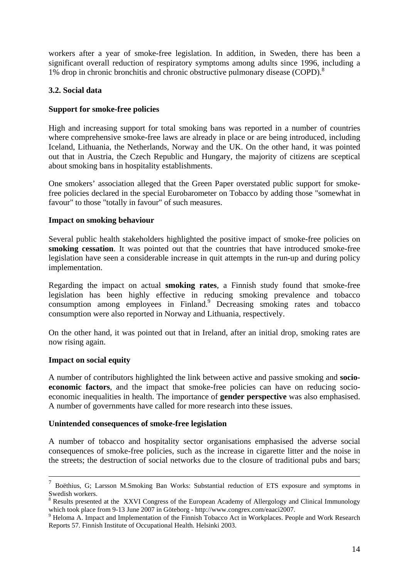workers after a year of smoke-free legislation. In addition, in Sweden, there has been a significant overall reduction of respiratory symptoms among adults since 1996, including a 1% drop in chronic bronchitis and chronic obstructive pulmonary disease (COPD).<sup>8</sup>

#### **3.2. Social data**

#### **Support for smoke-free policies**

High and increasing support for total smoking bans was reported in a number of countries where comprehensive smoke-free laws are already in place or are being introduced, including Iceland, Lithuania, the Netherlands, Norway and the UK. On the other hand, it was pointed out that in Austria, the Czech Republic and Hungary, the majority of citizens are sceptical about smoking bans in hospitality establishments.

One smokers' association alleged that the Green Paper overstated public support for smokefree policies declared in the special Eurobarometer on Tobacco by adding those "somewhat in favour" to those "totally in favour" of such measures.

#### **Impact on smoking behaviour**

Several public health stakeholders highlighted the positive impact of smoke-free policies on **smoking cessation**. It was pointed out that the countries that have introduced smoke-free legislation have seen a considerable increase in quit attempts in the run-up and during policy implementation.

Regarding the impact on actual **smoking rates**, a Finnish study found that smoke-free legislation has been highly effective in reducing smoking prevalence and tobacco consumption among employees in Finland.<sup>9</sup> Decreasing smoking rates and tobacco consumption were also reported in Norway and Lithuania, respectively.

On the other hand, it was pointed out that in Ireland, after an initial drop, smoking rates are now rising again.

#### **Impact on social equity**

A number of contributors highlighted the link between active and passive smoking and **socioeconomic factors**, and the impact that smoke-free policies can have on reducing socioeconomic inequalities in health. The importance of **gender perspective** was also emphasised. A number of governments have called for more research into these issues.

#### **Unintended consequences of smoke-free legislation**

A number of tobacco and hospitality sector organisations emphasised the adverse social consequences of smoke-free policies, such as the increase in cigarette litter and the noise in the streets; the destruction of social networks due to the closure of traditional pubs and bars;

 <sup>7</sup> Boëthius, G; Larsson M.Smoking Ban Works: Substantial reduction of ETS exposure and symptoms in Swedish workers.

<sup>&</sup>lt;sup>8</sup> Results presented at the XXVI Congress of the European Academy of Allergology and Clinical Immunology which took place from 9-13 June 2007 in Göteborg - http://www.congrex.com/eaaci2007.

<sup>&</sup>lt;sup>9</sup> Heloma A. Impact and Implementation of the Finnish Tobacco Act in Workplaces. People and Work Research Reports 57. Finnish Institute of Occupational Health. Helsinki 2003.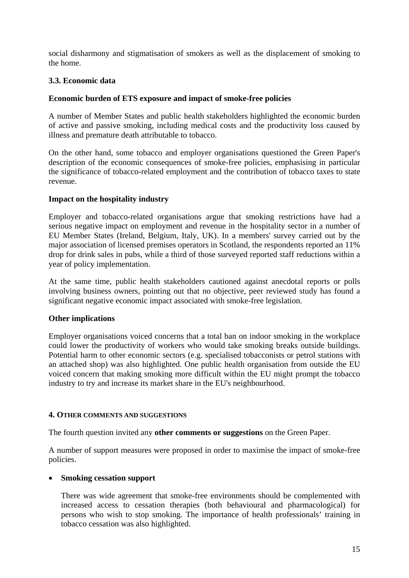social disharmony and stigmatisation of smokers as well as the displacement of smoking to the home.

#### **3.3. Economic data**

#### **Economic burden of ETS exposure and impact of smoke-free policies**

A number of Member States and public health stakeholders highlighted the economic burden of active and passive smoking, including medical costs and the productivity loss caused by illness and premature death attributable to tobacco.

On the other hand, some tobacco and employer organisations questioned the Green Paper's description of the economic consequences of smoke-free policies, emphasising in particular the significance of tobacco-related employment and the contribution of tobacco taxes to state revenue.

#### **Impact on the hospitality industry**

Employer and tobacco-related organisations argue that smoking restrictions have had a serious negative impact on employment and revenue in the hospitality sector in a number of EU Member States (Ireland, Belgium, Italy, UK). In a members' survey carried out by the major association of licensed premises operators in Scotland, the respondents reported an 11% drop for drink sales in pubs, while a third of those surveyed reported staff reductions within a year of policy implementation.

At the same time, public health stakeholders cautioned against anecdotal reports or polls involving business owners, pointing out that no objective, peer reviewed study has found a significant negative economic impact associated with smoke-free legislation.

#### **Other implications**

Employer organisations voiced concerns that a total ban on indoor smoking in the workplace could lower the productivity of workers who would take smoking breaks outside buildings. Potential harm to other economic sectors (e.g. specialised tobacconists or petrol stations with an attached shop) was also highlighted. One public health organisation from outside the EU voiced concern that making smoking more difficult within the EU might prompt the tobacco industry to try and increase its market share in the EU's neighbourhood.

#### **4. OTHER COMMENTS AND SUGGESTIONS**

The fourth question invited any **other comments or suggestions** on the Green Paper.

A number of support measures were proposed in order to maximise the impact of smoke-free policies.

#### • **Smoking cessation support**

There was wide agreement that smoke-free environments should be complemented with increased access to cessation therapies (both behavioural and pharmacological) for persons who wish to stop smoking. The importance of health professionals' training in tobacco cessation was also highlighted.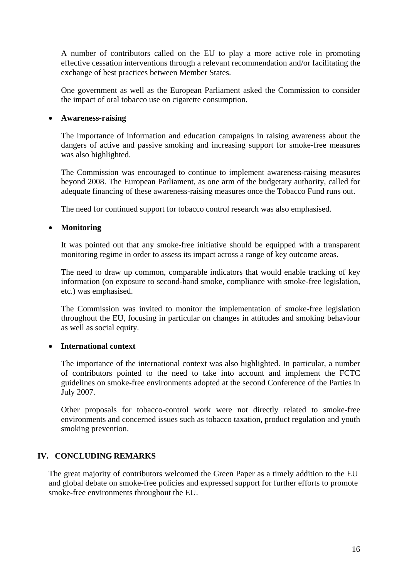A number of contributors called on the EU to play a more active role in promoting effective cessation interventions through a relevant recommendation and/or facilitating the exchange of best practices between Member States.

One government as well as the European Parliament asked the Commission to consider the impact of oral tobacco use on cigarette consumption.

#### • **Awareness-raising**

The importance of information and education campaigns in raising awareness about the dangers of active and passive smoking and increasing support for smoke-free measures was also highlighted.

The Commission was encouraged to continue to implement awareness-raising measures beyond 2008. The European Parliament, as one arm of the budgetary authority, called for adequate financing of these awareness-raising measures once the Tobacco Fund runs out.

The need for continued support for tobacco control research was also emphasised.

#### • **Monitoring**

It was pointed out that any smoke-free initiative should be equipped with a transparent monitoring regime in order to assess its impact across a range of key outcome areas.

The need to draw up common, comparable indicators that would enable tracking of key information (on exposure to second-hand smoke, compliance with smoke-free legislation, etc.) was emphasised.

The Commission was invited to monitor the implementation of smoke-free legislation throughout the EU, focusing in particular on changes in attitudes and smoking behaviour as well as social equity.

#### • **International context**

The importance of the international context was also highlighted. In particular, a number of contributors pointed to the need to take into account and implement the FCTC guidelines on smoke-free environments adopted at the second Conference of the Parties in July 2007.

Other proposals for tobacco-control work were not directly related to smoke-free environments and concerned issues such as tobacco taxation, product regulation and youth smoking prevention.

#### **IV. CONCLUDING REMARKS**

The great majority of contributors welcomed the Green Paper as a timely addition to the EU and global debate on smoke-free policies and expressed support for further efforts to promote smoke-free environments throughout the EU.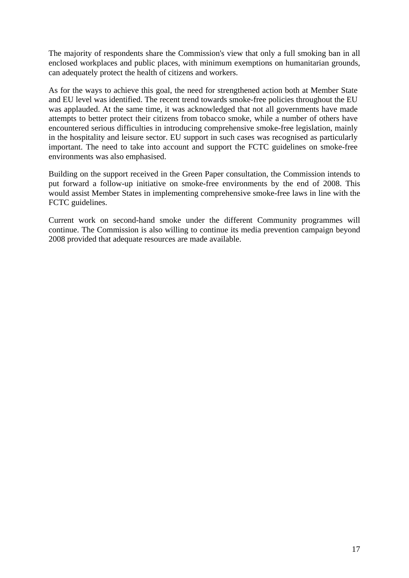The majority of respondents share the Commission's view that only a full smoking ban in all enclosed workplaces and public places, with minimum exemptions on humanitarian grounds, can adequately protect the health of citizens and workers.

As for the ways to achieve this goal, the need for strengthened action both at Member State and EU level was identified. The recent trend towards smoke-free policies throughout the EU was applauded. At the same time, it was acknowledged that not all governments have made attempts to better protect their citizens from tobacco smoke, while a number of others have encountered serious difficulties in introducing comprehensive smoke-free legislation, mainly in the hospitality and leisure sector. EU support in such cases was recognised as particularly important. The need to take into account and support the FCTC guidelines on smoke-free environments was also emphasised.

Building on the support received in the Green Paper consultation, the Commission intends to put forward a follow-up initiative on smoke-free environments by the end of 2008. This would assist Member States in implementing comprehensive smoke-free laws in line with the FCTC guidelines.

Current work on second-hand smoke under the different Community programmes will continue. The Commission is also willing to continue its media prevention campaign beyond 2008 provided that adequate resources are made available.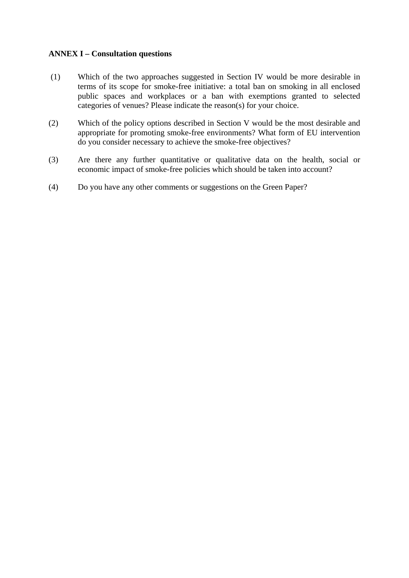#### **ANNEX I – Consultation questions**

- (1) Which of the two approaches suggested in Section IV would be more desirable in terms of its scope for smoke-free initiative: a total ban on smoking in all enclosed public spaces and workplaces or a ban with exemptions granted to selected categories of venues? Please indicate the reason(s) for your choice.
- (2) Which of the policy options described in Section V would be the most desirable and appropriate for promoting smoke-free environments? What form of EU intervention do you consider necessary to achieve the smoke-free objectives?
- (3) Are there any further quantitative or qualitative data on the health, social or economic impact of smoke-free policies which should be taken into account?
- (4) Do you have any other comments or suggestions on the Green Paper?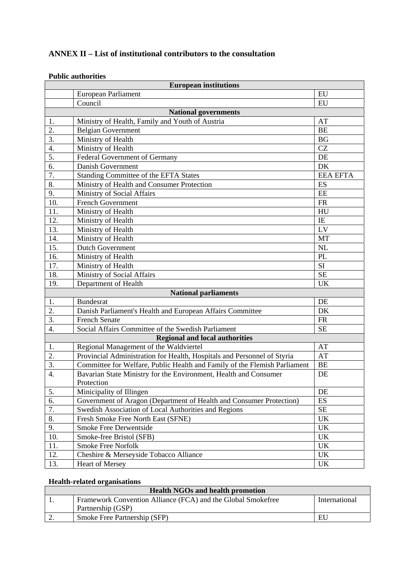#### **ANNEX II – List of institutional contributors to the consultation**

#### **Public authorities**

| <b>European institutions</b> |                                                                           |                                   |  |  |
|------------------------------|---------------------------------------------------------------------------|-----------------------------------|--|--|
|                              | EU<br>European Parliament                                                 |                                   |  |  |
|                              | Council                                                                   | EU                                |  |  |
|                              | <b>National governments</b>                                               |                                   |  |  |
| 1.                           | Ministry of Health, Family and Youth of Austria                           | AT                                |  |  |
| 2.                           | <b>Belgian Government</b>                                                 | <b>BE</b>                         |  |  |
| $\overline{3}$ .             | Ministry of Health                                                        | BG                                |  |  |
| 4.                           | Ministry of Health                                                        | CZ                                |  |  |
| 5.                           | Federal Government of Germany                                             | DE                                |  |  |
| $\overline{6}$ .             | Danish Government                                                         | DK                                |  |  |
| 7.                           | Standing Committee of the EFTA States                                     | <b>EEA EFTA</b>                   |  |  |
| 8.                           | Ministry of Health and Consumer Protection                                | ES                                |  |  |
| 9.                           | Ministry of Social Affairs                                                | EE                                |  |  |
| 10.                          | <b>French Government</b>                                                  | FR                                |  |  |
| 11.                          | Ministry of Health                                                        | HU                                |  |  |
| 12.                          | Ministry of Health                                                        | IE                                |  |  |
| 13.                          | Ministry of Health                                                        | LV                                |  |  |
| 14.                          | Ministry of Health                                                        | MT                                |  |  |
| 15.                          | <b>Dutch Government</b>                                                   | NL                                |  |  |
| 16.                          | Ministry of Health                                                        | <b>PL</b>                         |  |  |
| 17.                          | Ministry of Health                                                        | SI                                |  |  |
| 18.                          | Ministry of Social Affairs                                                | <b>SE</b>                         |  |  |
| 19.                          | Department of Health                                                      | <b>UK</b>                         |  |  |
|                              | <b>National parliaments</b>                                               |                                   |  |  |
| 1.                           | <b>Bundesrat</b>                                                          | DE                                |  |  |
| 2.                           | Danish Parliament's Health and European Affairs Committee                 | DK                                |  |  |
| $\overline{3}$ .             | <b>French Senate</b>                                                      | <b>FR</b>                         |  |  |
| 4.                           | Social Affairs Committee of the Swedish Parliament                        | <b>SE</b>                         |  |  |
|                              | <b>Regional and local authorities</b>                                     |                                   |  |  |
| 1.                           | Regional Management of the Waldviertel                                    | AT                                |  |  |
| 2.                           | Provincial Administration for Health, Hospitals and Personnel of Styria   | AT                                |  |  |
| 3.                           | Committee for Welfare, Public Health and Family of the Flemish Parliament | <b>BE</b>                         |  |  |
| $\overline{4}$ .             | Bavarian State Ministry for the Environment, Health and Consumer          | DE                                |  |  |
|                              | Protection                                                                |                                   |  |  |
| 5.                           | Minicipality of Illingen                                                  | DE                                |  |  |
| $\overline{6}$ .             | Government of Aragon (Department of Health and Consumer Protection)       | ES                                |  |  |
| 7.                           | Swedish Association of Local Authorities and Regions                      | <b>SE</b>                         |  |  |
| 8.                           | Fresh Smoke Free North East (SFNE)                                        | UK                                |  |  |
| 9.                           | Smoke Free Derwentside                                                    | UK                                |  |  |
| 10.                          | Smoke-free Bristol (SFB)                                                  | <b>UK</b>                         |  |  |
| 11.                          | Smoke Free Norfolk                                                        | $\ensuremath{\mathrm{UK}}\xspace$ |  |  |
| 12.                          | Cheshire & Merseyside Tobacco Alliance                                    | UK                                |  |  |
| 13.                          | <b>Heart of Mersey</b>                                                    | UK                                |  |  |

#### **Health-related organisations**

| <b>Health NGOs and health promotion</b> |                                                              |               |
|-----------------------------------------|--------------------------------------------------------------|---------------|
|                                         | Framework Convention Alliance (FCA) and the Global Smokefree | International |
|                                         | Partnership (GSP)                                            |               |
| <u>.</u>                                | Smoke Free Partnership (SFP)                                 | EU.           |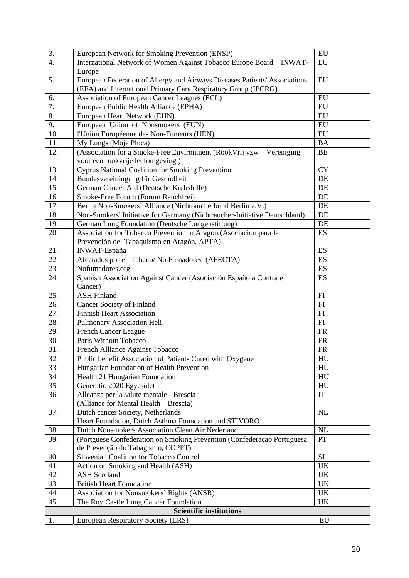| $\overline{3}$ .  | European Network for Smoking Prevention (ENSP)                             | EU         |
|-------------------|----------------------------------------------------------------------------|------------|
| $\overline{4}$ .  | International Network of Women Against Tobacco Europe Board - INWAT-       | EU         |
|                   | Europe                                                                     |            |
| 5.                | European Federation of Allergy and Airways Diseases Patients' Associations | EU         |
|                   | (EFA) and International Primary Care Respiratory Group (IPCRG)             |            |
| 6.                | Association of European Cancer Leagues (ECL)                               | EU         |
| 7.                | European Public Health Alliance (EPHA)                                     | EU         |
| 8.                | European Heart Network (EHN)                                               | EU         |
| 9.                | European Union of Nonsmokers (EUN)                                         | EU         |
| 10.               | l'Union Européenne des Non-Fumeurs (UEN)                                   | EU         |
| $\overline{11}$ . | My Lungs (Moje Pluca)                                                      | <b>BA</b>  |
| 12.               | (Association for a Smoke-Free Environment (RookVrij vzw - Vereniging       | $\rm BE$   |
|                   | voor een rookvrije leefomgeving)                                           |            |
| 13.               | Cyprus National Coalition for Smoking Prevention                           | <b>CY</b>  |
| 14.               | Bundesvereiningung für Gesundheit                                          | DE         |
| 15.               | German Cancer Aid (Deutsche Krebshilfe)                                    | DE         |
| 16.               | Smoke-Free Forum (Forum Rauchfrei)                                         | DE         |
| 17.               | Berlin Non-Smokers' Alliance (Nichtraucherbund Berlin e.V.)                | DE         |
| 18.               | Non-Smokers' Initiative for Germany (Nichtraucher-Initiative Deutschland)  | DE         |
| 19.               | German Lung Foundation (Deutsche Lungenstiftung)                           | DE         |
| 20.               | Association for Tobacco Prevention in Aragon (Asociación para la           | ES         |
|                   | Prevención del Tabaquismo en Aragón, APTA)                                 |            |
| 21.               | INWAT-España                                                               | ES         |
| 22.               | Afectados por el Tabaco/No Fumadores (AFECTA)                              | ES         |
| 23.               | Nofumadores.org                                                            | ES         |
| 24.               | Spanish Association Against Cancer (Asociación Española Contra el          | ES         |
|                   | Cancer)                                                                    |            |
| 25.               | <b>ASH Finland</b>                                                         | FI         |
| 26.               | <b>Cancer Society of Finland</b>                                           | FI         |
| 27.               | <b>Finnish Heart Association</b>                                           | FI         |
| 28.               | Pulmonary Association Heli                                                 | ${\rm FI}$ |
| 29.               | <b>French Cancer League</b>                                                | <b>FR</b>  |
| 30.               | Paris Without Tobacco                                                      | <b>FR</b>  |
| 31.               | French Alliance Against Tobacco                                            | <b>FR</b>  |
| 32.               | Public benefit Association of Patients Cured with Oxygene                  | HU         |
| 33.               | Hungarian Foundation of Health Prevention                                  | HU         |
| 34.               | Health 21 Hungarian Foundation                                             | HU         |
| 35.               | Generatio 2020 Egyesület                                                   | HU         |
| 36.               | Alleanza per la salute mentale - Brescia                                   | IT         |
|                   | (Alliance for Mental Health - Brescia)                                     |            |
| 37.               | Dutch cancer Society, Netherlands                                          | <b>NL</b>  |
|                   | Heart Foundation, Dutch Asthma Foundation and STIVORO                      |            |
| 38.               | Dutch Nonsmokers Association Clean Air Nederland                           | NL         |
| 39.               | (Portguese Confederation on Smoking Prevention (Confederação Portuguesa    | PT         |
|                   | de Prevenção do Tabagismo, COPPT)                                          |            |
| 40.               | Slovenian Coalition for Tobacco Control                                    | SI         |
| 41.               | Action on Smoking and Health (ASH)                                         | UK         |
| 42.               | <b>ASH Scotland</b>                                                        | UK         |
| 43.               | <b>British Heart Foundation</b>                                            | UK         |
| 44.               | Association for Nonsmokers' Rights (ANSR)                                  | UK         |
| 45.               | The Roy Castle Lung Cancer Foundation                                      | UK         |
|                   | <b>Scientific institutions</b>                                             |            |
| 1.                | European Respiratory Society (ERS)                                         | EU         |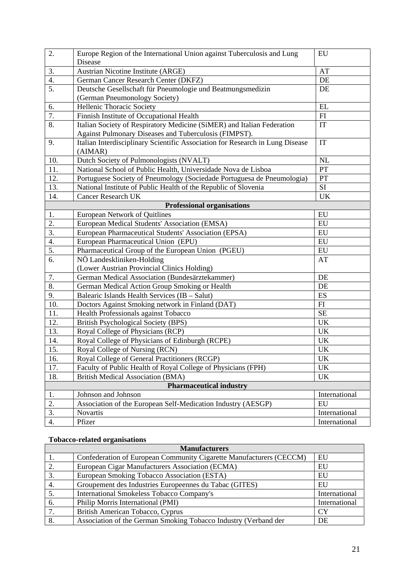| $\overline{2}$ . | Europe Region of the International Union against Tuberculosis and Lung                      | EU                              |
|------------------|---------------------------------------------------------------------------------------------|---------------------------------|
|                  | Disease                                                                                     |                                 |
| 3.               | Austrian Nicotine Institute (ARGE)                                                          | AT                              |
| 4.               | German Cancer Research Center (DKFZ)                                                        | DE                              |
| 5.               | Deutsche Gesellschaft für Pneumologie und Beatmungsmedizin<br>(German Pneumonology Society) | DE                              |
| 6.               | Hellenic Thoracic Society                                                                   | EL                              |
| 7.               | Finnish Institute of Occupational Health                                                    | ${\rm FI}$                      |
| 8.               | Italian Society of Respiratory Medicine (SiMER) and Italian Federation                      | IT                              |
|                  | Against Pulmonary Diseases and Tuberculosis (FIMPST).                                       |                                 |
| 9.               | Italian Interdisciplinary Scientific Association for Research in Lung Disease<br>(AIMAR)    | IT                              |
| 10.              | Dutch Society of Pulmonologists (NVALT)                                                     | NL                              |
| 11.              | National School of Public Health, Universidade Nova de Lisboa                               | PT                              |
| 12.              | Portuguese Society of Pneumology (Sociedade Portuguesa de Pneumologia)                      | PT                              |
| 13.              | National Institute of Public Health of the Republic of Slovenia                             | $\rm SI$                        |
| 14.              | <b>Cancer Research UK</b>                                                                   | UK                              |
|                  | <b>Professional organisations</b>                                                           |                                 |
| 1.               | <b>European Network of Quitlines</b>                                                        | EU                              |
| $\overline{2}$ . | European Medical Students' Association (EMSA)                                               | EU                              |
| $\overline{3}$ . | European Pharmaceutical Students' Association (EPSA)                                        | EU                              |
| 4.               | European Pharmaceutical Union (EPU)                                                         | EU                              |
| 5.               | Pharmaceutical Group of the European Union (PGEU)                                           | EU                              |
| 6.               | NÖ Landeskliniken-Holding                                                                   | AT                              |
|                  | (Lower Austrian Provincial Clinics Holding)                                                 |                                 |
| 7.               | German Medical Association (Bundesärztekammer)                                              | DE                              |
| 8.               | German Medical Action Group Smoking or Health                                               | DE                              |
| 9.               | Balearic Islands Health Services (IB - Salut)                                               | ES                              |
| 10.              | Doctors Against Smoking network in Finland (DAT)                                            | FI                              |
| 11.              | Health Professionals against Tobacco                                                        | <b>SE</b>                       |
| 12.              | British Psychological Society (BPS)                                                         | UK                              |
| 13.              | Royal College of Physicians (RCP)                                                           | $\ensuremath{\text{UK}}\xspace$ |
| 14.              | Royal College of Physicians of Edinburgh (RCPE)                                             | UK                              |
| 15.              | Royal College of Nursing (RCN)                                                              | UK                              |
| 16.              | Royal College of General Practitioners (RCGP)                                               | <b>UK</b>                       |
| 17.              | Faculty of Public Health of Royal College of Physicians (FPH)                               | UK                              |
| 18.              | <b>British Medical Association (BMA)</b>                                                    | UK                              |
|                  | <b>Pharmaceutical industry</b>                                                              |                                 |
| 1.               | Johnson and Johnson                                                                         | International                   |
| 2.               | Association of the European Self-Medication Industry (AESGP)                                | EU                              |
| 3.               | Novartis                                                                                    | International                   |
| 4.               | Pfizer                                                                                      | International                   |

#### **Tobacco-related organisations**

| <b>Manufacturers</b> |                                                                     |               |
|----------------------|---------------------------------------------------------------------|---------------|
|                      | Confederation of European Community Cigarette Manufacturers (CECCM) | EU            |
| 2.                   | European Cigar Manufacturers Association (ECMA)                     | EU            |
| 3.                   | European Smoking Tobacco Association (ESTA)                         | EU            |
| 4.                   | Groupement des Industries Europeennes du Tabac (GITES)              | EU            |
|                      | <b>International Smokeless Tobacco Company's</b>                    | International |
| 6.                   | Philip Morris International (PMI)                                   | International |
| 7.                   | British American Tobacco, Cyprus                                    | <b>CY</b>     |
| $\overline{8}$ .     | Association of the German Smoking Tobacco Industry (Verband der     | DE            |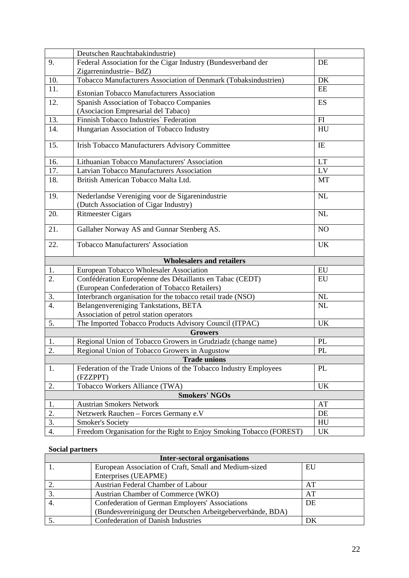|                   | Deutschen Rauchtabakindustrie)                                               |            |
|-------------------|------------------------------------------------------------------------------|------------|
| 9.                | Federal Association for the Cigar Industry (Bundesverband der                | DE         |
|                   | Zigarrenindustrie-BdZ)                                                       |            |
| 10.               | Tobacco Manufacturers Association of Denmark (Tobaksindustrien)              | DK         |
| $\overline{11}$ . | <b>Estonian Tobacco Manufacturers Association</b>                            | EE         |
| 12.               | Spanish Association of Tobacco Companies                                     | <b>ES</b>  |
|                   | (Asociacion Empresarial del Tabaco)                                          |            |
| 13.               | Finnish Tobacco Industries' Federation                                       | FI         |
| 14.               | Hungarian Association of Tobacco Industry                                    | HU         |
| 15.               | Irish Tobacco Manufacturers Advisory Committee                               | IE         |
| 16.               | Lithuanian Tobacco Manufacturers' Association                                | LT         |
| 17.               | Latvian Tobacco Manufacturers Association                                    | LV         |
| 18.               | British American Tobacco Malta Ltd.                                          | MT         |
| 19.               | Nederlandse Vereniging voor de Sigarenindustrie                              | NL         |
|                   | (Dutch Association of Cigar Industry)                                        |            |
| 20.               | <b>Ritmeester Cigars</b>                                                     | NL         |
| 21.               | Gallaher Norway AS and Gunnar Stenberg AS.                                   | NO         |
| 22.               | Tobacco Manufacturers' Association                                           | UK         |
|                   | <b>Wholesalers and retailers</b>                                             |            |
| 1.                | European Tobacco Wholesaler Association                                      | ${\rm EU}$ |
| 2.                | Confédération Européenne des Détaillants en Tabac (CEDT)                     | EU         |
|                   | (European Confederation of Tobacco Retailers)                                |            |
| 3.                | Interbranch organisation for the tobacco retail trade (NSO)                  | NL         |
| 4.                | Belangenvereniging Tankstations, BETA                                        | NL         |
|                   | Association of petrol station operators                                      |            |
| 5.                | The Imported Tobacco Products Advisory Council (ITPAC)                       | <b>UK</b>  |
|                   | <b>Growers</b>                                                               |            |
| 1.                | Regional Union of Tobacco Growers in Grudziadz (change name)                 | PL         |
| 2.                | Regional Union of Tobacco Growers in Augustow                                | PL         |
|                   | <b>Trade unions</b>                                                          |            |
| 1.                | Federation of the Trade Unions of the Tobacco Industry Employees<br>(FZZPPT) | PL         |
| 2.                | Tobacco Workers Alliance (TWA)                                               | <b>UK</b>  |
|                   | <b>Smokers' NGOs</b>                                                         |            |
| 1.                | <b>Austrian Smokers Network</b>                                              | AT         |
| 2.                | Netzwerk Rauchen - Forces Germany e.V                                        | DE         |
| 3.                | <b>Smoker's Society</b>                                                      | HU         |
| 4.                | Freedom Organisation for the Right to Enjoy Smoking Tobacco (FOREST)         | UK         |

#### **Social partners**

| <b>Inter-sectoral organisations</b> |                                                            |    |
|-------------------------------------|------------------------------------------------------------|----|
|                                     | European Association of Craft, Small and Medium-sized      | EU |
|                                     | Enterprises (UEAPME)                                       |    |
|                                     | Austrian Federal Chamber of Labour                         | AT |
| 3.                                  | Austrian Chamber of Commerce (WKO)                         | AT |
|                                     | Confederation of German Employers' Associations            | DE |
|                                     | (Bundesvereinigung der Deutschen Arbeitgeberverbände, BDA) |    |
| -5.                                 | <b>Confederation of Danish Industries</b>                  | DK |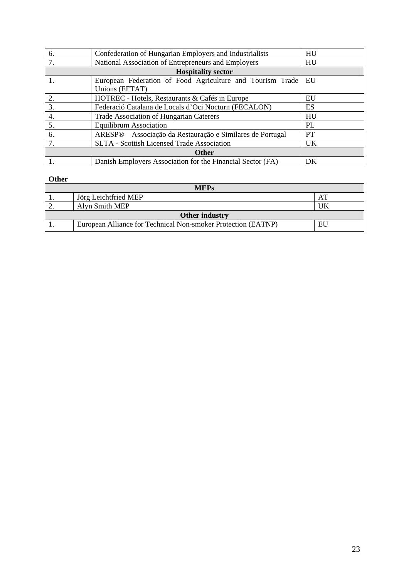| 6. | Confederation of Hungarian Employers and Industrialists    | HU        |
|----|------------------------------------------------------------|-----------|
| 7. | National Association of Entrepreneurs and Employers        | HU        |
|    | <b>Hospitality sector</b>                                  |           |
| 1. | European Federation of Food Agriculture and Tourism Trade  | EU        |
|    | Unions (EFTAT)                                             |           |
| 2. | HOTREC - Hotels, Restaurants & Cafés in Europe             | EU        |
| 3. | Federació Catalana de Locals d'Oci Nocturn (FECALON)       | ES        |
| 4. | Trade Association of Hungarian Caterers                    | HU        |
| 5. | <b>Equilibrum Association</b>                              | PL        |
| 6. | ARESP® – Associação da Restauração e Similares de Portugal | <b>PT</b> |
| 7. | <b>SLTA - Scottish Licensed Trade Association</b>          | <b>UK</b> |
|    |                                                            |           |
|    | Danish Employers Association for the Financial Sector (FA) | DK        |

#### **Other**

| <b>MEPs</b>    |                                                               |    |
|----------------|---------------------------------------------------------------|----|
|                | Jörg Leichtfried MEP                                          |    |
| ٠.             | Alyn Smith MEP                                                |    |
| Other industry |                                                               |    |
|                | European Alliance for Technical Non-smoker Protection (EATNP) | EU |